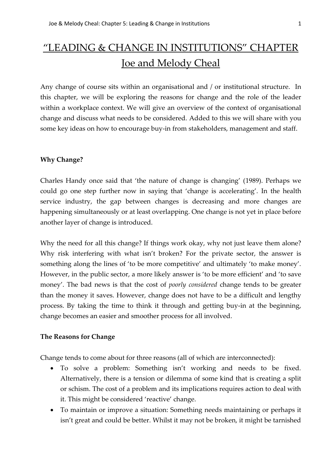# "LEADING & CHANGE IN INSTITUTIONS" CHAPTER Joe and Melody Cheal

Any change of course sits within an organisational and / or institutional structure. In this chapter, we will be exploring the reasons for change and the role of the leader within a workplace context. We will give an overview of the context of organisational change and discuss what needs to be considered. Added to this we will share with you some key ideas on how to encourage buy-in from stakeholders, management and staff.

## **Why Change?**

Charles Handy once said that 'the nature of change is changing' (1989). Perhaps we could go one step further now in saying that 'change is accelerating'. In the health service industry, the gap between changes is decreasing and more changes are happening simultaneously or at least overlapping. One change is not yet in place before another layer of change is introduced.

Why the need for all this change? If things work okay, why not just leave them alone? Why risk interfering with what isn't broken? For the private sector, the answer is something along the lines of 'to be more competitive' and ultimately 'to make money'. However, in the public sector, a more likely answer is 'to be more efficient' and 'to save money'. The bad news is that the cost of *poorly considered* change tends to be greater than the money it saves. However, change does not have to be a difficult and lengthy process. By taking the time to think it through and getting buy-in at the beginning, change becomes an easier and smoother process for all involved.

#### **The Reasons for Change**

Change tends to come about for three reasons (all of which are interconnected):

- To solve a problem: Something isn't working and needs to be fixed. Alternatively, there is a tension or dilemma of some kind that is creating a split or schism. The cost of a problem and its implications requires action to deal with it. This might be considered 'reactive' change.
- To maintain or improve a situation: Something needs maintaining or perhaps it isn't great and could be better. Whilst it may not be broken, it might be tarnished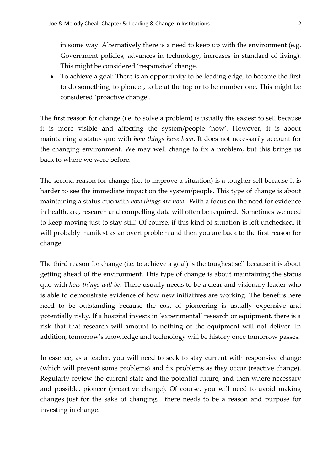in some way. Alternatively there is a need to keep up with the environment (e.g. Government policies, advances in technology, increases in standard of living). This might be considered 'responsive' change.

 To achieve a goal: There is an opportunity to be leading edge, to become the first to do something, to pioneer, to be at the top or to be number one. This might be considered 'proactive change'.

The first reason for change (i.e. to solve a problem) is usually the easiest to sell because it is more visible and affecting the system/people 'now'. However, it is about maintaining a status quo with *how things have been*. It does not necessarily account for the changing environment. We may well change to fix a problem, but this brings us back to where we were before.

The second reason for change (i.e. to improve a situation) is a tougher sell because it is harder to see the immediate impact on the system/people. This type of change is about maintaining a status quo with *how things are now*. With a focus on the need for evidence in healthcare, research and compelling data will often be required. Sometimes we need to keep moving just to stay still! Of course, if this kind of situation is left unchecked, it will probably manifest as an overt problem and then you are back to the first reason for change.

The third reason for change (i.e. to achieve a goal) is the toughest sell because it is about getting ahead of the environment. This type of change is about maintaining the status quo with *how things will be*. There usually needs to be a clear and visionary leader who is able to demonstrate evidence of how new initiatives are working. The benefits here need to be outstanding because the cost of pioneering is usually expensive and potentially risky. If a hospital invests in 'experimental' research or equipment, there is a risk that that research will amount to nothing or the equipment will not deliver. In addition, tomorrow's knowledge and technology will be history once tomorrow passes.

In essence, as a leader, you will need to seek to stay current with responsive change (which will prevent some problems) and fix problems as they occur (reactive change). Regularly review the current state and the potential future, and then where necessary and possible, pioneer (proactive change). Of course, you will need to avoid making changes just for the sake of changing... there needs to be a reason and purpose for investing in change.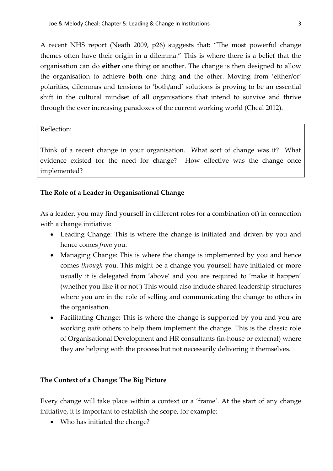A recent NHS report (Neath 2009, p26) suggests that: "The most powerful change themes often have their origin in a dilemma." This is where there is a belief that the organisation can do **either** one thing **or** another. The change is then designed to allow the organisation to achieve **both** one thing **and** the other. Moving from 'either/or' polarities, dilemmas and tensions to 'both/and' solutions is proving to be an essential shift in the cultural mindset of all organisations that intend to survive and thrive through the ever increasing paradoxes of the current working world (Cheal 2012).

## Reflection:

Think of a recent change in your organisation. What sort of change was it? What evidence existed for the need for change? How effective was the change once implemented?

## **The Role of a Leader in Organisational Change**

As a leader, you may find yourself in different roles (or a combination of) in connection with a change initiative:

- Leading Change: This is where the change is initiated and driven by you and hence comes *from* you.
- Managing Change: This is where the change is implemented by you and hence comes *through* you. This might be a change you yourself have initiated or more usually it is delegated from 'above' and you are required to 'make it happen' (whether you like it or not!) This would also include shared leadership structures where you are in the role of selling and communicating the change to others in the organisation.
- Facilitating Change: This is where the change is supported by you and you are working *with* others to help them implement the change. This is the classic role of Organisational Development and HR consultants (in-house or external) where they are helping with the process but not necessarily delivering it themselves.

## **The Context of a Change: The Big Picture**

Every change will take place within a context or a 'frame'. At the start of any change initiative, it is important to establish the scope, for example:

• Who has initiated the change?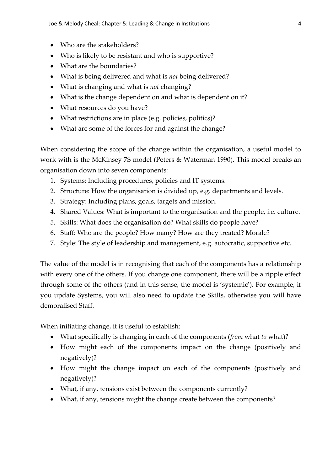- Who are the stakeholders?
- Who is likely to be resistant and who is supportive?
- What are the boundaries?
- What is being delivered and what is *not* being delivered?
- What is changing and what is *not* changing?
- What is the change dependent on and what is dependent on it?
- What resources do you have?
- What restrictions are in place (e.g. policies, politics)?
- What are some of the forces for and against the change?

When considering the scope of the change within the organisation, a useful model to work with is the McKinsey 7S model (Peters & Waterman 1990). This model breaks an organisation down into seven components:

- 1. Systems: Including procedures, policies and IT systems.
- 2. Structure: How the organisation is divided up, e.g. departments and levels.
- 3. Strategy: Including plans, goals, targets and mission.
- 4. Shared Values: What is important to the organisation and the people, i.e. culture.
- 5. Skills: What does the organisation do? What skills do people have?
- 6. Staff: Who are the people? How many? How are they treated? Morale?
- 7. Style: The style of leadership and management, e.g. autocratic, supportive etc.

The value of the model is in recognising that each of the components has a relationship with every one of the others. If you change one component, there will be a ripple effect through some of the others (and in this sense, the model is 'systemic'). For example, if you update Systems, you will also need to update the Skills, otherwise you will have demoralised Staff.

When initiating change, it is useful to establish:

- What specifically is changing in each of the components (*from* what *to* what)?
- How might each of the components impact on the change (positively and negatively)?
- How might the change impact on each of the components (positively and negatively)?
- What, if any, tensions exist between the components currently?
- What, if any, tensions might the change create between the components?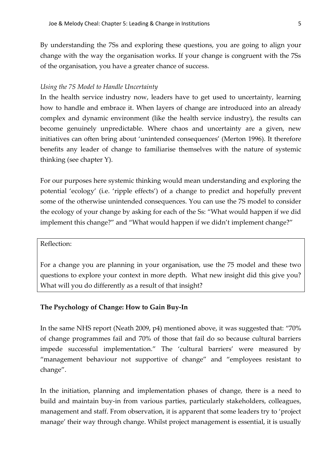By understanding the 7Ss and exploring these questions, you are going to align your change with the way the organisation works. If your change is congruent with the 7Ss of the organisation, you have a greater chance of success.

## *Using the 7S Model to Handle Uncertainty*

In the health service industry now, leaders have to get used to uncertainty, learning how to handle and embrace it. When layers of change are introduced into an already complex and dynamic environment (like the health service industry), the results can become genuinely unpredictable. Where chaos and uncertainty are a given, new initiatives can often bring about 'unintended consequences' (Merton 1996). It therefore benefits any leader of change to familiarise themselves with the nature of systemic thinking (see chapter Y).

For our purposes here systemic thinking would mean understanding and exploring the potential 'ecology' (i.e. 'ripple effects') of a change to predict and hopefully prevent some of the otherwise unintended consequences. You can use the 7S model to consider the ecology of your change by asking for each of the Ss: "What would happen if we did implement this change?" and "What would happen if we didn't implement change?"

## Reflection:

For a change you are planning in your organisation, use the 75 model and these two questions to explore your context in more depth. What new insight did this give you? What will you do differently as a result of that insight?

## **The Psychology of Change: How to Gain Buy-In**

In the same NHS report (Neath 2009, p4) mentioned above, it was suggested that: "70% of change programmes fail and 70% of those that fail do so because cultural barriers impede successful implementation." The 'cultural barriers' were measured by "management behaviour not supportive of change" and "employees resistant to change".

In the initiation, planning and implementation phases of change, there is a need to build and maintain buy-in from various parties, particularly stakeholders, colleagues, management and staff. From observation, it is apparent that some leaders try to 'project manage' their way through change. Whilst project management is essential, it is usually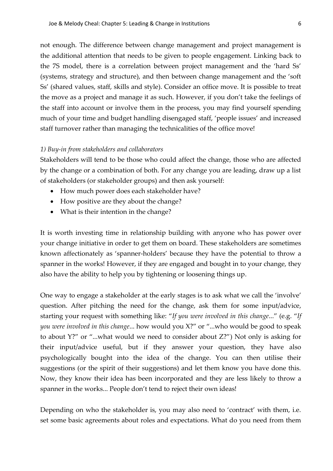not enough. The difference between change management and project management is the additional attention that needs to be given to people engagement. Linking back to the 7S model, there is a correlation between project management and the 'hard Ss' (systems, strategy and structure), and then between change management and the 'soft Ss' (shared values, staff, skills and style). Consider an office move. It is possible to treat the move as a project and manage it as such. However, if you don't take the feelings of the staff into account or involve them in the process, you may find yourself spending much of your time and budget handling disengaged staff, 'people issues' and increased staff turnover rather than managing the technicalities of the office move!

#### *1) Buy-in from stakeholders and collaborators*

Stakeholders will tend to be those who could affect the change, those who are affected by the change or a combination of both. For any change you are leading, draw up a list of stakeholders (or stakeholder groups) and then ask yourself:

- How much power does each stakeholder have?
- How positive are they about the change?
- What is their intention in the change?

It is worth investing time in relationship building with anyone who has power over your change initiative in order to get them on board. These stakeholders are sometimes known affectionately as 'spanner-holders' because they have the potential to throw a spanner in the works! However, if they are engaged and bought in to your change, they also have the ability to help you by tightening or loosening things up.

One way to engage a stakeholder at the early stages is to ask what we call the 'involve' question. After pitching the need for the change, ask them for some input/advice, starting your request with something like: "*If you were involved in this change*..." (e.g. "*If you were involved in this change*... how would you X?" or "...who would be good to speak to about Y?" or "...what would we need to consider about Z?") Not only is asking for their input/advice useful, but if they answer your question, they have also psychologically bought into the idea of the change. You can then utilise their suggestions (or the spirit of their suggestions) and let them know you have done this. Now, they know their idea has been incorporated and they are less likely to throw a spanner in the works... People don't tend to reject their own ideas!

Depending on who the stakeholder is, you may also need to 'contract' with them, i.e. set some basic agreements about roles and expectations. What do you need from them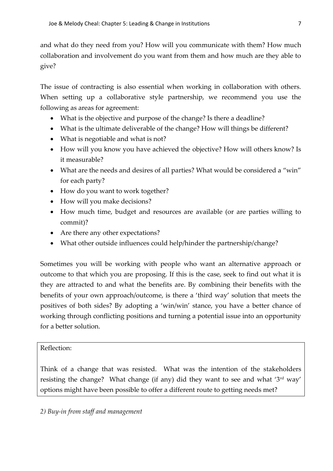and what do they need from you? How will you communicate with them? How much collaboration and involvement do you want from them and how much are they able to give?

The issue of contracting is also essential when working in collaboration with others. When setting up a collaborative style partnership, we recommend you use the following as areas for agreement:

- What is the objective and purpose of the change? Is there a deadline?
- What is the ultimate deliverable of the change? How will things be different?
- What is negotiable and what is not?
- How will you know you have achieved the objective? How will others know? Is it measurable?
- What are the needs and desires of all parties? What would be considered a "win" for each party?
- How do you want to work together?
- How will you make decisions?
- How much time, budget and resources are available (or are parties willing to commit)?
- Are there any other expectations?
- What other outside influences could help/hinder the partnership/change?

Sometimes you will be working with people who want an alternative approach or outcome to that which you are proposing. If this is the case, seek to find out what it is they are attracted to and what the benefits are. By combining their benefits with the benefits of your own approach/outcome, is there a 'third way' solution that meets the positives of both sides? By adopting a 'win/win' stance, you have a better chance of working through conflicting positions and turning a potential issue into an opportunity for a better solution.

## Reflection:

Think of a change that was resisted. What was the intention of the stakeholders resisting the change? What change (if any) did they want to see and what '3rd way' options might have been possible to offer a different route to getting needs met?

## *2) Buy-in from staff and management*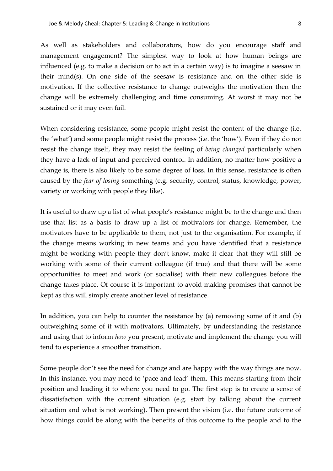As well as stakeholders and collaborators, how do you encourage staff and management engagement? The simplest way to look at how human beings are influenced (e.g. to make a decision or to act in a certain way) is to imagine a seesaw in their mind(s). On one side of the seesaw is resistance and on the other side is motivation. If the collective resistance to change outweighs the motivation then the change will be extremely challenging and time consuming. At worst it may not be sustained or it may even fail.

When considering resistance, some people might resist the content of the change (i.e. the 'what') and some people might resist the process (i.e. the 'how'). Even if they do not resist the change itself, they may resist the feeling of *being changed* particularly when they have a lack of input and perceived control. In addition, no matter how positive a change is, there is also likely to be some degree of loss. In this sense, resistance is often caused by the *fear of losing* something (e.g. security, control, status, knowledge, power, variety or working with people they like).

It is useful to draw up a list of what people's resistance might be to the change and then use that list as a basis to draw up a list of motivators for change. Remember, the motivators have to be applicable to them, not just to the organisation. For example, if the change means working in new teams and you have identified that a resistance might be working with people they don't know, make it clear that they will still be working with some of their current colleague (if true) and that there will be some opportunities to meet and work (or socialise) with their new colleagues before the change takes place. Of course it is important to avoid making promises that cannot be kept as this will simply create another level of resistance.

In addition, you can help to counter the resistance by (a) removing some of it and (b) outweighing some of it with motivators. Ultimately, by understanding the resistance and using that to inform *how* you present, motivate and implement the change you will tend to experience a smoother transition.

Some people don't see the need for change and are happy with the way things are now. In this instance, you may need to 'pace and lead' them. This means starting from their position and leading it to where you need to go. The first step is to create a sense of dissatisfaction with the current situation (e.g. start by talking about the current situation and what is not working). Then present the vision (i.e. the future outcome of how things could be along with the benefits of this outcome to the people and to the